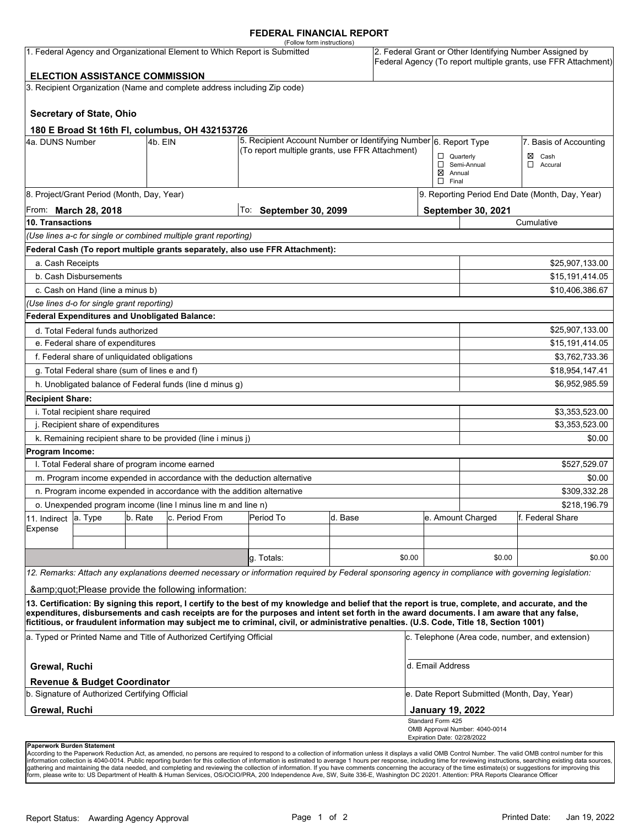## **FEDERAL FINANCIAL REPORT**

|                                                                           |                                               |         |                                                                                                                     | (Follow form instructions)                                                                                                                                                                                                                                                                         |         |        |                                                        |                                                                                                                            |                           |  |
|---------------------------------------------------------------------------|-----------------------------------------------|---------|---------------------------------------------------------------------------------------------------------------------|----------------------------------------------------------------------------------------------------------------------------------------------------------------------------------------------------------------------------------------------------------------------------------------------------|---------|--------|--------------------------------------------------------|----------------------------------------------------------------------------------------------------------------------------|---------------------------|--|
| 1. Federal Agency and Organizational Element to Which Report is Submitted |                                               |         |                                                                                                                     |                                                                                                                                                                                                                                                                                                    |         |        |                                                        | 2. Federal Grant or Other Identifying Number Assigned by<br>Federal Agency (To report multiple grants, use FFR Attachment) |                           |  |
|                                                                           | <b>ELECTION ASSISTANCE COMMISSION</b>         |         |                                                                                                                     |                                                                                                                                                                                                                                                                                                    |         |        |                                                        |                                                                                                                            |                           |  |
|                                                                           |                                               |         | 3. Recipient Organization (Name and complete address including Zip code)                                            |                                                                                                                                                                                                                                                                                                    |         |        |                                                        |                                                                                                                            |                           |  |
|                                                                           | <b>Secretary of State, Ohio</b>               |         |                                                                                                                     |                                                                                                                                                                                                                                                                                                    |         |        |                                                        |                                                                                                                            |                           |  |
|                                                                           |                                               |         | 180 E Broad St 16th Fl, columbus, OH 432153726                                                                      |                                                                                                                                                                                                                                                                                                    |         |        |                                                        |                                                                                                                            |                           |  |
| 4a. DUNS Number<br>4b. EIN                                                |                                               |         | 5. Recipient Account Number or Identifying Number 6. Report Type<br>(To report multiple grants, use FFR Attachment) |                                                                                                                                                                                                                                                                                                    |         |        | 7. Basis of Accounting                                 |                                                                                                                            |                           |  |
|                                                                           |                                               |         |                                                                                                                     |                                                                                                                                                                                                                                                                                                    |         |        | $\Box$ Quarterly<br>$\boxtimes$ Annual<br>$\Box$ Final | Semi-Annual                                                                                                                | Cash<br>⊠<br>□<br>Accural |  |
| 8. Project/Grant Period (Month, Day, Year)                                |                                               |         |                                                                                                                     |                                                                                                                                                                                                                                                                                                    |         |        | 9. Reporting Period End Date (Month, Day, Year)        |                                                                                                                            |                           |  |
| From: <b>March 28, 2018</b>                                               |                                               |         |                                                                                                                     | To: September 30, 2099                                                                                                                                                                                                                                                                             |         |        |                                                        | September 30, 2021                                                                                                         |                           |  |
| 10. Transactions                                                          |                                               |         |                                                                                                                     |                                                                                                                                                                                                                                                                                                    |         |        |                                                        | Cumulative                                                                                                                 |                           |  |
|                                                                           |                                               |         | (Use lines a-c for single or combined multiple grant reporting)                                                     |                                                                                                                                                                                                                                                                                                    |         |        |                                                        |                                                                                                                            |                           |  |
|                                                                           |                                               |         |                                                                                                                     | Federal Cash (To report multiple grants separately, also use FFR Attachment):                                                                                                                                                                                                                      |         |        |                                                        |                                                                                                                            |                           |  |
| a. Cash Receipts                                                          |                                               |         |                                                                                                                     |                                                                                                                                                                                                                                                                                                    |         |        |                                                        |                                                                                                                            | \$25,907,133.00           |  |
|                                                                           | b. Cash Disbursements                         |         |                                                                                                                     |                                                                                                                                                                                                                                                                                                    |         |        |                                                        | \$15,191,414.05                                                                                                            |                           |  |
| c. Cash on Hand (line a minus b)                                          |                                               |         |                                                                                                                     |                                                                                                                                                                                                                                                                                                    |         |        |                                                        |                                                                                                                            | \$10,406,386.67           |  |
|                                                                           | (Use lines d-o for single grant reporting)    |         |                                                                                                                     |                                                                                                                                                                                                                                                                                                    |         |        |                                                        |                                                                                                                            |                           |  |
|                                                                           | Federal Expenditures and Unobligated Balance: |         |                                                                                                                     |                                                                                                                                                                                                                                                                                                    |         |        |                                                        |                                                                                                                            |                           |  |
| d. Total Federal funds authorized                                         |                                               |         |                                                                                                                     |                                                                                                                                                                                                                                                                                                    |         |        |                                                        |                                                                                                                            | \$25,907,133.00           |  |
| e. Federal share of expenditures                                          |                                               |         |                                                                                                                     |                                                                                                                                                                                                                                                                                                    |         |        | \$15,191,414.05                                        |                                                                                                                            |                           |  |
| f. Federal share of unliquidated obligations                              |                                               |         |                                                                                                                     |                                                                                                                                                                                                                                                                                                    |         |        | \$3,762,733.36                                         |                                                                                                                            |                           |  |
| g. Total Federal share (sum of lines e and f)                             |                                               |         |                                                                                                                     |                                                                                                                                                                                                                                                                                                    |         |        |                                                        | \$18,954,147.41                                                                                                            |                           |  |
| h. Unobligated balance of Federal funds (line d minus g)                  |                                               |         |                                                                                                                     |                                                                                                                                                                                                                                                                                                    |         |        |                                                        |                                                                                                                            | \$6,952,985.59            |  |
| <b>Recipient Share:</b>                                                   |                                               |         |                                                                                                                     |                                                                                                                                                                                                                                                                                                    |         |        |                                                        |                                                                                                                            |                           |  |
| i. Total recipient share required                                         |                                               |         |                                                                                                                     |                                                                                                                                                                                                                                                                                                    |         |        |                                                        |                                                                                                                            | \$3,353,523.00            |  |
| j. Recipient share of expenditures                                        |                                               |         |                                                                                                                     |                                                                                                                                                                                                                                                                                                    |         |        |                                                        | \$3,353,523.00                                                                                                             |                           |  |
| k. Remaining recipient share to be provided (line i minus j)<br>\$0.00    |                                               |         |                                                                                                                     |                                                                                                                                                                                                                                                                                                    |         |        |                                                        |                                                                                                                            |                           |  |
| Program Income:                                                           |                                               |         |                                                                                                                     |                                                                                                                                                                                                                                                                                                    |         |        |                                                        |                                                                                                                            |                           |  |
| I. Total Federal share of program income earned<br>\$527,529.07           |                                               |         |                                                                                                                     |                                                                                                                                                                                                                                                                                                    |         |        |                                                        |                                                                                                                            |                           |  |
| m. Program income expended in accordance with the deduction alternative   |                                               |         |                                                                                                                     |                                                                                                                                                                                                                                                                                                    |         |        |                                                        |                                                                                                                            | \$0.00                    |  |
| n. Program income expended in accordance with the addition alternative    |                                               |         |                                                                                                                     |                                                                                                                                                                                                                                                                                                    |         |        |                                                        | \$309,332.28                                                                                                               |                           |  |
| o. Unexpended program income (line I minus line m and line n)             |                                               |         |                                                                                                                     |                                                                                                                                                                                                                                                                                                    |         |        |                                                        | \$218,196.79                                                                                                               |                           |  |
| 11. Indirect                                                              | a. Type                                       | b. Rate | c. Period From                                                                                                      | Period To                                                                                                                                                                                                                                                                                          | d. Base |        |                                                        | e. Amount Charged                                                                                                          | lf. Federal Share         |  |
| Expense                                                                   |                                               |         |                                                                                                                     |                                                                                                                                                                                                                                                                                                    |         |        |                                                        |                                                                                                                            |                           |  |
|                                                                           |                                               |         |                                                                                                                     |                                                                                                                                                                                                                                                                                                    |         |        |                                                        |                                                                                                                            |                           |  |
|                                                                           |                                               |         |                                                                                                                     | g. Totals:                                                                                                                                                                                                                                                                                         |         | \$0.00 |                                                        | \$0.00                                                                                                                     | \$0.00                    |  |
|                                                                           |                                               |         |                                                                                                                     | 12. Remarks: Attach any explanations deemed necessary or information required by Federal sponsoring agency in compliance with governing legislation:                                                                                                                                               |         |        |                                                        |                                                                                                                            |                           |  |
|                                                                           |                                               |         | & quot; Please provide the following information:                                                                   |                                                                                                                                                                                                                                                                                                    |         |        |                                                        |                                                                                                                            |                           |  |
|                                                                           |                                               |         |                                                                                                                     | 13. Certification: By signing this report, I certify to the best of my knowledge and belief that the report is true, complete, and accurate, and the<br>expenditures, disbursements and cash receipts are for the purposes and intent set forth in the award documents. I am aware that any false, |         |        |                                                        |                                                                                                                            |                           |  |
|                                                                           |                                               |         |                                                                                                                     | fictitious, or fraudulent information may subject me to criminal, civil, or administrative penalties. (U.S. Code, Title 18, Section 1001)                                                                                                                                                          |         |        |                                                        |                                                                                                                            |                           |  |
| a. Typed or Printed Name and Title of Authorized Certifying Official      |                                               |         |                                                                                                                     |                                                                                                                                                                                                                                                                                                    |         |        | c. Telephone (Area code, number, and extension)        |                                                                                                                            |                           |  |
| Grewal, Ruchi                                                             |                                               |         |                                                                                                                     |                                                                                                                                                                                                                                                                                                    |         |        |                                                        | d. Email Address                                                                                                           |                           |  |
|                                                                           | <b>Revenue &amp; Budget Coordinator</b>       |         |                                                                                                                     |                                                                                                                                                                                                                                                                                                    |         |        |                                                        |                                                                                                                            |                           |  |
| b. Signature of Authorized Certifying Official                            |                                               |         |                                                                                                                     |                                                                                                                                                                                                                                                                                                    |         |        | e. Date Report Submitted (Month, Day, Year)            |                                                                                                                            |                           |  |
| Grewal, Ruchi<br><b>January 19, 2022</b>                                  |                                               |         |                                                                                                                     |                                                                                                                                                                                                                                                                                                    |         |        |                                                        |                                                                                                                            |                           |  |
|                                                                           |                                               |         |                                                                                                                     |                                                                                                                                                                                                                                                                                                    |         |        | Standard Form 425<br>Expiration Date: 02/28/2022       | OMB Approval Number: 4040-0014                                                                                             |                           |  |
| Paperwork Burden Statement                                                |                                               |         |                                                                                                                     |                                                                                                                                                                                                                                                                                                    |         |        |                                                        |                                                                                                                            |                           |  |

According to the Paperwork Reduction Act, as amended, no persons are required to respond to a collection of information unless it displays a valid OMB Control Number. The valid OMB control number for this<br>information colle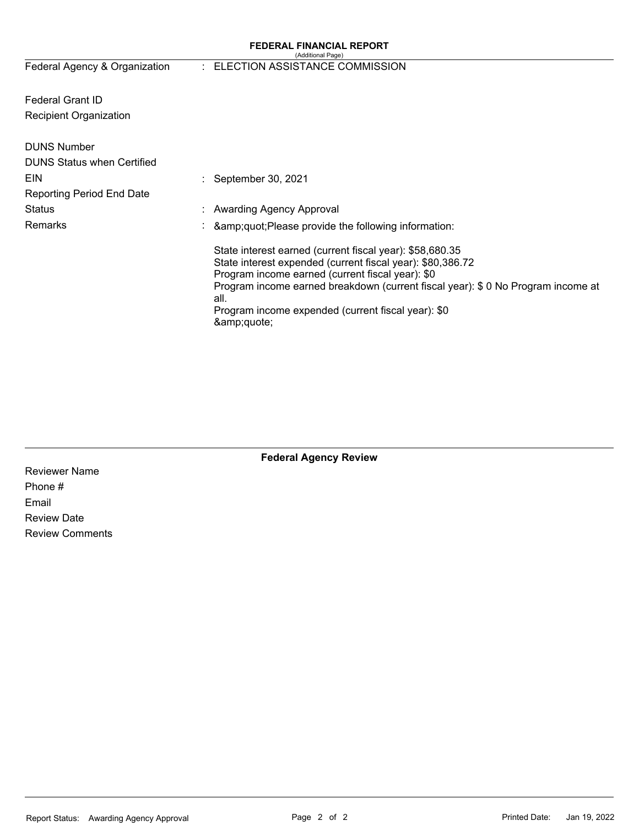#### **FEDERAL FINANCIAL REPORT**  (Additional Page)

# Federal Agency & Organization : ELECTION ASSISTANCE COMMISSION

Federal Grant ID Recipient Organization

| <b>DUNS Number</b>                |                                                                                                                                                                                                                                                                                                                                       |
|-----------------------------------|---------------------------------------------------------------------------------------------------------------------------------------------------------------------------------------------------------------------------------------------------------------------------------------------------------------------------------------|
| <b>DUNS Status when Certified</b> |                                                                                                                                                                                                                                                                                                                                       |
| EIN                               | $\therefore$ September 30, 2021                                                                                                                                                                                                                                                                                                       |
| <b>Reporting Period End Date</b>  |                                                                                                                                                                                                                                                                                                                                       |
| <b>Status</b>                     | : Awarding Agency Approval                                                                                                                                                                                                                                                                                                            |
| <b>Remarks</b>                    | : $\&amp;quot;Please provide the following information:$                                                                                                                                                                                                                                                                              |
|                                   | State interest earned (current fiscal year): \$58,680.35<br>State interest expended (current fiscal year): \$80,386.72<br>Program income earned (current fiscal year): \$0<br>Program income earned breakdown (current fiscal year): \$0 No Program income at<br>all.<br>Program income expended (current fiscal year): \$0<br>&quote |

**Federal Agency Review** 

Reviewer Name Phone # Email Review Date Review Comments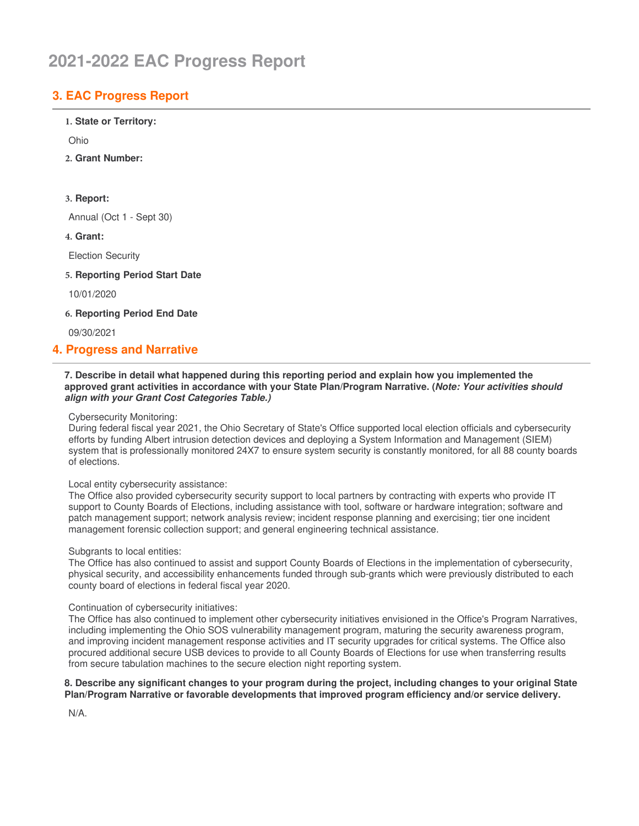# **2021-2022 EAC Progress Report**

# **3. EAC Progress Report**

### **1. State or Territory:**

Ohio

**2. Grant Number:**

## **3. Report:**

Annual (Oct 1 - Sept 30)

**4. Grant:**

Election Security

**5. Reporting Period Start Date**

10/01/2020

**6. Reporting Period End Date**

09/30/2021

# **4. Progress and Narrative**

#### **7. Describe in detail what happened during this reporting period and explain how you implemented the approved grant activities in accordance with your State Plan/Program Narrative. (***Note: Your activities should align with your Grant Cost Categories Table.)*

Cybersecurity Monitoring:

 During federal fiscal year 2021, the Ohio Secretary of State's Office supported local election officials and cybersecurity efforts by funding Albert intrusion detection devices and deploying a System Information and Management (SIEM) system that is professionally monitored 24X7 to ensure system security is constantly monitored, for all 88 county boards of elections.

### Local entity cybersecurity assistance:

 The Office also provided cybersecurity security support to local partners by contracting with experts who provide IT support to County Boards of Elections, including assistance with tool, software or hardware integration; software and patch management support; network analysis review; incident response planning and exercising; tier one incident management forensic collection support; and general engineering technical assistance.

### Subgrants to local entities:

 The Office has also continued to assist and support County Boards of Elections in the implementation of cybersecurity, physical security, and accessibility enhancements funded through sub-grants which were previously distributed to each county board of elections in federal fiscal year 2020.

### Continuation of cybersecurity initiatives:

 The Office has also continued to implement other cybersecurity initiatives envisioned in the Office's Program Narratives, including implementing the Ohio SOS vulnerability management program, maturing the security awareness program, and improving incident management response activities and IT security upgrades for critical systems. The Office also procured additional secure USB devices to provide to all County Boards of Elections for use when transferring results from secure tabulation machines to the secure election night reporting system.

#### 8. Describe any significant changes to your program during the project, including changes to your original State  **Plan/Program Narrative or favorable developments that improved program efficiency and/or service delivery.**

N/A.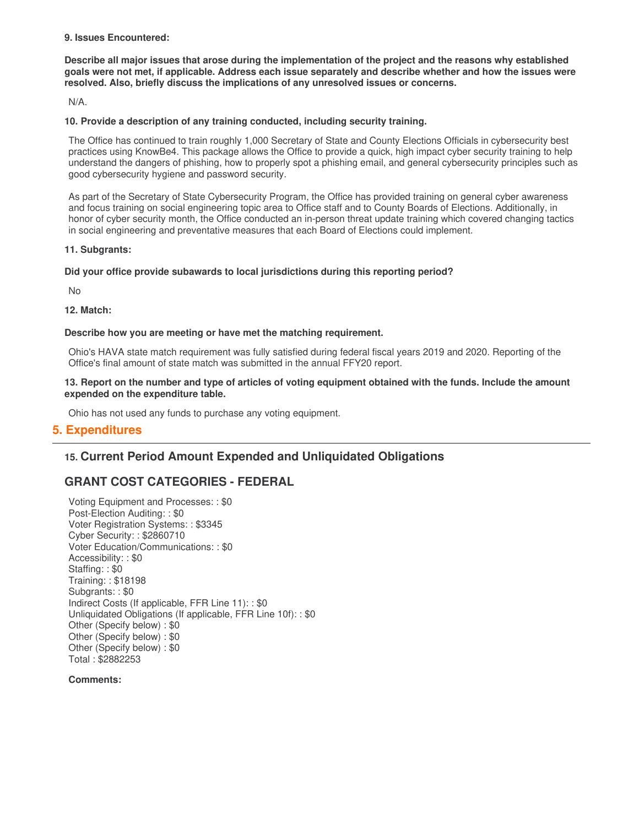#### **9. Issues Encountered:**

Describe all major issues that arose during the implementation of the project and the reasons why established goals were not met, if applicable. Address each issue separately and describe whether and how the issues were  **resolved. Also, briefly discuss the implications of any unresolved issues or concerns.**

N/A.

## **10. Provide a description of any training conducted, including security training.**

 The Office has continued to train roughly 1,000 Secretary of State and County Elections Officials in cybersecurity best practices using KnowBe4. This package allows the Office to provide a quick, high impact cyber security training to help understand the dangers of phishing, how to properly spot a phishing email, and general cybersecurity principles such as good cybersecurity hygiene and password security.

 As part of the Secretary of State Cybersecurity Program, the Office has provided training on general cyber awareness and focus training on social engineering topic area to Office staff and to County Boards of Elections. Additionally, in honor of cyber security month, the Office conducted an in-person threat update training which covered changing tactics in social engineering and preventative measures that each Board of Elections could implement.

#### **11. Subgrants:**

## **Did your office provide subawards to local jurisdictions during this reporting period?**

No

**12. Match:**

## **Describe how you are meeting or have met the matching requirement.**

 Ohio's HAVA state match requirement was fully satisfied during federal fiscal years 2019 and 2020. Reporting of the Office's final amount of state match was submitted in the annual FFY20 report.

#### 13. Report on the number and type of articles of voting equipment obtained with the funds. Include the amount  **expended on the expenditure table.**

Ohio has not used any funds to purchase any voting equipment.

## **5. Expenditures**

# **15. Current Period Amount Expended and Unliquidated Obligations**

# **GRANT COST CATEGORIES - FEDERAL**

 Voting Equipment and Processes: : \$0 Post-Election Auditing: : \$0 Voter Registration Systems: : \$3345 Cyber Security: : \$2860710 Voter Education/Communications: : \$0 Accessibility: : \$0 Staffing: : \$0 Training: : \$18198 Subgrants: : \$0 Indirect Costs (If applicable, FFR Line 11): : \$0 Unliquidated Obligations (If applicable, FFR Line 10f): : \$0 Other (Specify below) : \$0 Other (Specify below) : \$0 Other (Specify below) : \$0 Total : \$2882253

**Comments:**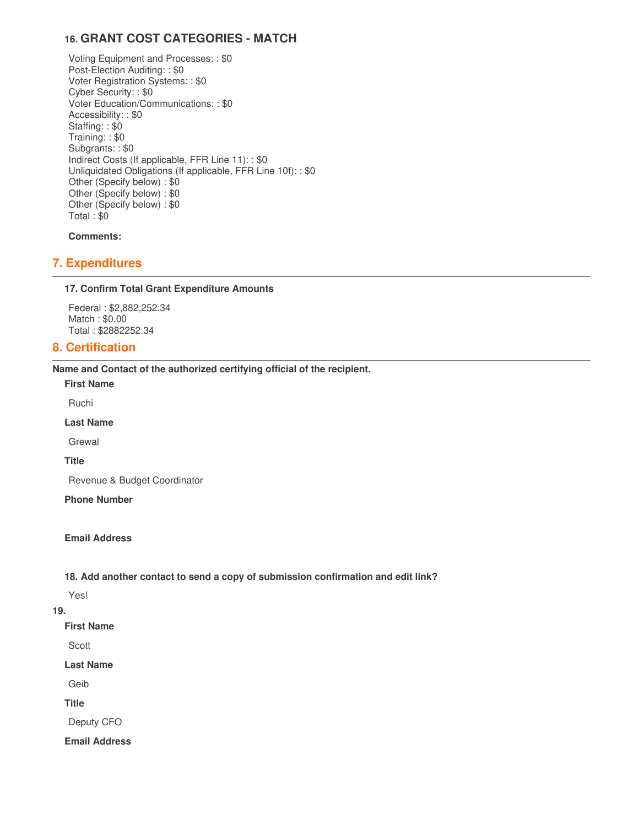# **16. GRANT COST CATEGORIES - MATCH**

 Voting Equipment and Processes: : \$0 Post-Election Auditing: : \$0 Voter Registration Systems: : \$0 Cyber Security: : \$0 Voter Education/Communications: : \$0 Accessibility: : \$0 Staffing: : \$0 Training: : \$0 Subgrants: : \$0 Indirect Costs (If applicable, FFR Line 11): : \$0 Unliquidated Obligations (If applicable, FFR Line 10f): : \$0 Other (Specify below) : \$0 Other (Specify below) : \$0 Other (Specify below) : \$0 Total : \$0

**Comments:**

# **7. Expenditures**

## **17. Confirm Total Grant Expenditure Amounts**

 Federal : \$[2,882,252.34](https://2,882,252.34) Match : \$0.00 Total : \$[2882252.34](https://2882252.34)

## **8. Certification**

 **Name and Contact of the authorized certifying official of the recipient.**

**First Name**

Ruchi

**Last Name**

Grewal

**Title**

Revenue & Budget Coordinator

**Phone Number** 

#### **Email Address**

## **18. Add another contact to send a copy of submission confirmation and edit link?**

Yes!

#### **19.**

**First Name**

Scott

#### **Last Name**

Geib

**Title**

Deputy CFO

**Email Address**